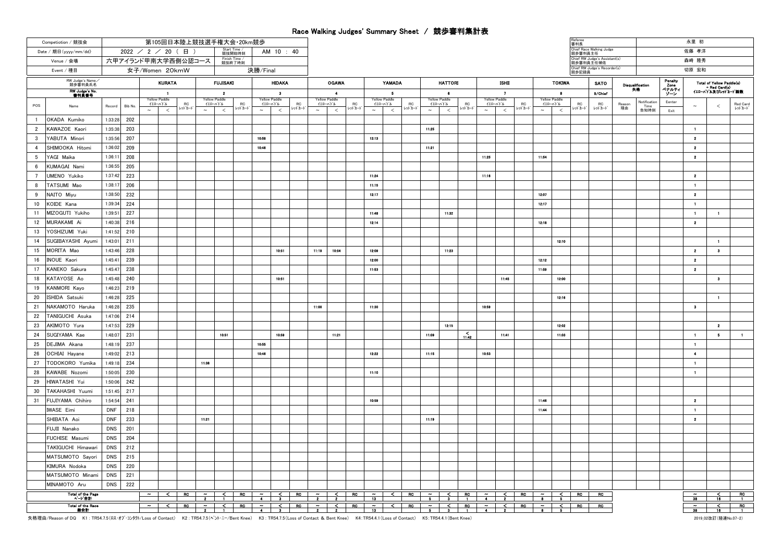## Race Walking Judges' Summary Sheet / 競歩審判集計表

| Competiotion / 競技会                 | 第105回日本陸上競技選手権大会 20km競歩                                     |                     |       |              |                         |                  |                      |                   |                               |        |                                                  |              |                   |                             |                        |                     |                        |                               |                              |                   |                               | 審判長                  |                          |                        |                                 |                                                                 | 永里 初                      |                         |                         |
|------------------------------------|-------------------------------------------------------------|---------------------|-------|--------------|-------------------------|------------------|----------------------|-------------------|-------------------------------|--------|--------------------------------------------------|--------------|-------------------|-----------------------------|------------------------|---------------------|------------------------|-------------------------------|------------------------------|-------------------|-------------------------------|----------------------|--------------------------|------------------------|---------------------------------|-----------------------------------------------------------------|---------------------------|-------------------------|-------------------------|
| Date / 期日(yyyy/mm/dd)              | Start Time /<br>競技開始時刻<br>$2022$ / 2 / 20 (日)<br>AM 10 : 40 |                     |       |              |                         |                  |                      |                   |                               |        |                                                  |              |                   |                             |                        |                     |                        |                               |                              |                   |                               | 競歩審判員主任              | Chief Race Walking Judge |                        |                                 |                                                                 | 佐藤 孝洋                     |                         |                         |
| Venue / 会場                         | 六甲アイランド甲南大学西側公認コース                                          |                     |       |              | Finish Time /<br>競技終了時刻 |                  |                      |                   |                               |        |                                                  |              |                   |                             |                        |                     |                        |                               |                              | 競歩審判員主任補佐         | Chief RW Judge's Assistant(s) |                      |                          |                        | 森崎 隆秀                           |                                                                 |                           |                         |                         |
| Event / 種目                         |                                                             | 女子/Women 20kmW      |       |              | 決勝/Final                |                  |                      |                   |                               |        |                                                  |              |                   |                             |                        |                     |                        | 競歩記録員                         | Chief RW Judge's Recorder(s) |                   |                               |                      | 切原 宏和                    |                        |                                 |                                                                 |                           |                         |                         |
| RW Judge's Name<br>競歩審判員氏名         | <b>KURATA</b>                                               |                     |       |              | <b>FUJISAKI</b>         |                  |                      | <b>HIDAKA</b>     | <b>OGAWA</b>                  |        |                                                  |              | YAMADA            |                             | <b>HATTORI</b>         |                     |                        |                               | TOKIWA                       |                   |                               | <b>SATO</b>          |                          | Disqualification<br>失格 | Panalty<br>Zone<br>ペナルティ<br>ゾーン | Total of Yellow Paddle(s)<br>+ Red Card(s)<br>イエローハトル及びレットカート競数 |                           |                         |                         |
| RW Judge's No<br>書判員番号             |                                                             | -1<br>Yellow Paddle |       |              | Yellow Paddle           |                  | $\overline{2}$       |                   | $\mathbf{a}$<br>Yellow Paddle |        | $\overline{\phantom{a}}$<br><b>Yellow Paddle</b> |              |                   | - 5<br><b>Yellow Paddle</b> |                        | -6<br>Yellow Paddle |                        | $\mathbf{z}$<br>Yellow Paddle |                              | Yellow Paddle     | -8                            |                      | 9/Chief                  |                        |                                 |                                                                 |                           |                         |                         |
| POS<br>Name                        | Bib No.<br>Record                                           | イエローバドル<br>$\sim$   | $\,<$ | RC<br>レットカート | $\sim$                  | イエローバドル<br>$\,<$ | ${\sf RC}$<br>レットカート | イエローバトル<br>$\sim$ | ${\sf RC}$<br>レットカード<br>$\,<$ | $\sim$ | イエローパドル<br>$\,<$                                 | RC<br>レットカート | イエローバドル<br>$\sim$ | $\,<$                       | RC<br>レットカード<br>$\sim$ | イエローハトル<br>$\,<$    | RC<br>レットカード<br>$\sim$ | イエローハトル<br>$\,<$              | RC<br>レットカード                 | イエローハトル<br>$\sim$ | $\,<$                         | ${\sf RC}$<br>レットカート | <b>RC</b><br>レットカート      | Reason<br>理由           | Notification<br>Time<br>告知時刻    | Eenter<br>Exit                                                  | $\widetilde{\phantom{m}}$ | ≺                       | Red Card<br>レッドカード      |
| $\mathbf{1}$<br>OKADA Kumiko       | 1:33:28<br>202                                              |                     |       |              |                         |                  |                      |                   |                               |        |                                                  |              |                   |                             |                        |                     |                        |                               |                              |                   |                               |                      |                          |                        |                                 |                                                                 |                           |                         |                         |
| $\overline{2}$<br>KAWAZOE Kaori    | 203<br>1:35:38                                              |                     |       |              |                         |                  |                      |                   |                               |        |                                                  |              |                   |                             | 11:25                  |                     |                        |                               |                              |                   |                               |                      |                          |                        |                                 |                                                                 | $\mathbf{1}$              |                         |                         |
| $\mathcal{R}$<br>YABUTA Minori     | 1:35:56<br>207                                              |                     |       |              |                         |                  |                      | 10:58             |                               |        |                                                  |              | 12:13             |                             |                        |                     |                        |                               |                              |                   |                               |                      |                          |                        |                                 |                                                                 | $\mathbf{z}$              |                         |                         |
| $\overline{4}$<br>SHIMOOKA Hitomi  | 209<br>1:36:02                                              |                     |       |              |                         |                  |                      | 10:46             |                               |        |                                                  |              |                   |                             | 11:21                  |                     |                        |                               |                              |                   |                               |                      |                          |                        |                                 |                                                                 | $\overline{2}$            |                         |                         |
| YAGI Maika<br>-5                   | 1:36:11<br>208                                              |                     |       |              |                         |                  |                      |                   |                               |        |                                                  |              |                   |                             |                        |                     | 11:25                  |                               |                              | 11:54             |                               |                      |                          |                        |                                 |                                                                 | $\mathbf{2}$              |                         |                         |
| KUMAGAI Nami<br>6                  | 1:36:55<br>205                                              |                     |       |              |                         |                  |                      |                   |                               |        |                                                  |              |                   |                             |                        |                     |                        |                               |                              |                   |                               |                      |                          |                        |                                 |                                                                 |                           |                         |                         |
| $7^{\circ}$<br><b>UMENO</b> Yukiko | 1:37:42<br>223                                              |                     |       |              |                         |                  |                      |                   |                               |        |                                                  |              | 11:24             |                             |                        |                     | 11:16                  |                               |                              |                   |                               |                      |                          |                        |                                 |                                                                 | $\mathbf{z}$              |                         |                         |
| TATSUMI Mao<br>8                   | 1:38:17<br>206                                              |                     |       |              |                         |                  |                      |                   |                               |        |                                                  |              | 11:15             |                             |                        |                     |                        |                               |                              |                   |                               |                      |                          |                        |                                 |                                                                 | $\blacksquare$            |                         |                         |
| 9<br>NAITO Miyu                    | 1:38:50<br>232                                              |                     |       |              |                         |                  |                      |                   |                               |        |                                                  |              | 12:17             |                             |                        |                     |                        |                               |                              | 12:07             |                               |                      |                          |                        |                                 |                                                                 | $\mathbf{2}$              |                         |                         |
| 10<br>KOIDE Kana                   | 1:39:34<br>224                                              |                     |       |              |                         |                  |                      |                   |                               |        |                                                  |              |                   |                             |                        |                     |                        |                               |                              | 12:17             |                               |                      |                          |                        |                                 |                                                                 | $\blacksquare$            |                         |                         |
| 11<br>MIZOGUTI Yukiho              | 227<br>1:39:51                                              |                     |       |              |                         |                  |                      |                   |                               |        |                                                  |              | 11:48             |                             |                        | 11:32               |                        |                               |                              |                   |                               |                      |                          |                        |                                 |                                                                 | $\blacksquare$            | $\blacksquare$          |                         |
| 12<br>MURAKAMI Ai                  | 1:40:38<br>216                                              |                     |       |              |                         |                  |                      |                   |                               |        |                                                  |              | 12:14             |                             |                        |                     |                        |                               |                              | 12:18             |                               |                      |                          |                        |                                 |                                                                 | $\overline{2}$            |                         |                         |
| 13<br>YOSHIZUMI Yuki               | 1:41:52<br>210                                              |                     |       |              |                         |                  |                      |                   |                               |        |                                                  |              |                   |                             |                        |                     |                        |                               |                              |                   |                               |                      |                          |                        |                                 |                                                                 |                           |                         |                         |
| SUGIBAYASHI Ayumi<br>14            | 1:43:01<br>211                                              |                     |       |              |                         |                  |                      |                   |                               |        |                                                  |              |                   |                             |                        |                     |                        |                               |                              |                   | 12.10                         |                      |                          |                        |                                 |                                                                 |                           | $\blacksquare$          |                         |
| MORITA Mao<br>15                   | 1:43:46<br>228                                              |                     |       |              |                         |                  |                      |                   | 10:51                         | 11:19  | 10:54                                            |              | 12:09             |                             |                        | 11:23               |                        |                               |                              |                   |                               |                      |                          |                        |                                 |                                                                 | $\mathbf{2}$              | $\overline{\mathbf{3}}$ |                         |
| 16<br><b>INOUE Kaori</b>           | 1:45:41<br>239                                              |                     |       |              |                         |                  |                      |                   |                               |        |                                                  |              | 12:00             |                             |                        |                     |                        |                               |                              | 12:12             |                               |                      |                          |                        |                                 |                                                                 | $\mathbf{z}$              |                         |                         |
| 17<br>KANEKO Sakura                | 1:45:47<br>238                                              |                     |       |              |                         |                  |                      |                   |                               |        |                                                  |              | 11:53             |                             |                        |                     |                        |                               |                              | 11:59             |                               |                      |                          |                        |                                 |                                                                 | $\mathbf{z}$              |                         |                         |
| 18<br>KATAYOSE Ao                  | 1:45:48<br>240                                              |                     |       |              |                         |                  |                      |                   | 10:51                         |        |                                                  |              |                   |                             |                        |                     |                        | 11:45                         |                              |                   | 12:00                         |                      |                          |                        |                                 |                                                                 |                           | $\bullet$               |                         |
| 19<br>KANMORI Kayo                 | 1:46:23<br>219                                              |                     |       |              |                         |                  |                      |                   |                               |        |                                                  |              |                   |                             |                        |                     |                        |                               |                              |                   |                               |                      |                          |                        |                                 |                                                                 |                           |                         |                         |
| 20<br>ISHIDA Satsuki               | 225<br>1:46:28                                              |                     |       |              |                         |                  |                      |                   |                               |        |                                                  |              |                   |                             |                        |                     |                        |                               |                              |                   | 12:18                         |                      |                          |                        |                                 |                                                                 |                           | $\blacksquare$          |                         |
| 21<br>NAKAMOTO Haruka              | 1:46:28<br>235                                              |                     |       |              |                         |                  |                      |                   |                               | 11:00  |                                                  |              | 11:30             |                             |                        |                     | 10:59                  |                               |                              |                   |                               |                      |                          |                        |                                 |                                                                 | $\bullet$                 |                         |                         |
| 22<br>TANIGUCHI Asuka              | 1:47:06<br>214                                              |                     |       |              |                         |                  |                      |                   |                               |        |                                                  |              |                   |                             |                        |                     |                        |                               |                              |                   |                               |                      |                          |                        |                                 |                                                                 |                           |                         |                         |
| AKIMOTO Yura<br>23                 | 1:47:53<br>229                                              |                     |       |              |                         |                  |                      |                   |                               |        |                                                  |              |                   |                             |                        | 12.15               |                        |                               |                              |                   | 12:02                         |                      |                          |                        |                                 |                                                                 |                           | $\overline{\mathbf{2}}$ |                         |
| 24<br>SUGIYAMA Kae                 | 1:48:07<br>231                                              |                     |       |              |                         | 10.51            |                      |                   | 10:59                         |        | 11:21                                            |              |                   |                             | 11:09                  |                     | $\frac{5}{11:42}$      | 11:41                         |                              |                   | 11.03                         |                      |                          |                        |                                 |                                                                 | $\blacksquare$            | 5                       | $\blacksquare$          |
| 25<br>DEJIMA Akana                 | 1:48:19<br>237                                              |                     |       |              |                         |                  |                      | 10:55             |                               |        |                                                  |              |                   |                             |                        |                     |                        |                               |                              |                   |                               |                      |                          |                        |                                 |                                                                 | $\mathbf{1}$              |                         |                         |
| 26<br>OCHIAI Hayane                | 1:49:02<br>213                                              |                     |       |              |                         |                  |                      | 10:46             |                               |        |                                                  |              | 12:22             |                             | 11:15                  |                     | 10:53                  |                               |                              |                   |                               |                      |                          |                        |                                 |                                                                 | $\blacktriangleleft$      |                         |                         |
| 27<br>TODOKORO Yumika              | 1:49:18<br>234                                              |                     |       |              | 11:30                   |                  |                      |                   |                               |        |                                                  |              |                   |                             |                        |                     |                        |                               |                              |                   |                               |                      |                          |                        |                                 |                                                                 | $\blacksquare$            |                         |                         |
| 28<br>KAWABE Nozomi                | 1:50:05<br>230                                              |                     |       |              |                         |                  |                      |                   |                               |        |                                                  |              | 11:10             |                             |                        |                     |                        |                               |                              |                   |                               |                      |                          |                        |                                 |                                                                 | $\blacksquare$            |                         |                         |
| 29<br>HIWATASHI Yui                | 1:50:06<br>242                                              |                     |       |              |                         |                  |                      |                   |                               |        |                                                  |              |                   |                             |                        |                     |                        |                               |                              |                   |                               |                      |                          |                        |                                 |                                                                 |                           |                         |                         |
| 30<br>TAKAHASHI Yuumi              | 217<br>1:51:45                                              |                     |       |              |                         |                  |                      |                   |                               |        |                                                  |              |                   |                             |                        |                     |                        |                               |                              |                   |                               |                      |                          |                        |                                 |                                                                 |                           |                         |                         |
| 31<br>FUJIYAMA Chihiro             | 241<br>1:54:54                                              |                     |       |              |                         |                  |                      |                   |                               |        |                                                  |              | 10:59             |                             |                        |                     |                        |                               |                              | 11:40             |                               |                      |                          |                        |                                 |                                                                 | $\overline{2}$            |                         |                         |
| <b>IWASE</b> Eimi                  | <b>DNF</b><br>218                                           |                     |       |              |                         |                  |                      |                   |                               |        |                                                  |              |                   |                             |                        |                     |                        |                               |                              | 11.44             |                               |                      |                          |                        |                                 |                                                                 | $\blacksquare$            |                         |                         |
| SHIBATA Aoi                        | <b>DNF</b><br>233                                           |                     |       |              | 11:21                   |                  |                      |                   |                               |        |                                                  |              |                   |                             | 11:19                  |                     |                        |                               |                              |                   |                               |                      |                          |                        |                                 |                                                                 | $\overline{2}$            |                         |                         |
| FUJII Nanako                       | DNS<br>201                                                  |                     |       |              |                         |                  |                      |                   |                               |        |                                                  |              |                   |                             |                        |                     |                        |                               |                              |                   |                               |                      |                          |                        |                                 |                                                                 |                           |                         |                         |
| FUCHISE Masumi                     | DNS<br>204                                                  |                     |       |              |                         |                  |                      |                   |                               |        |                                                  |              |                   |                             |                        |                     |                        |                               |                              |                   |                               |                      |                          |                        |                                 |                                                                 |                           |                         |                         |
| TAKIGUCHI Himawari                 | DNS<br>212                                                  |                     |       |              |                         |                  |                      |                   |                               |        |                                                  |              |                   |                             |                        |                     |                        |                               |                              |                   |                               |                      |                          |                        |                                 |                                                                 |                           |                         |                         |
| MATSUMOTO Sayori                   | 215<br>DNS                                                  |                     |       |              |                         |                  |                      |                   |                               |        |                                                  |              |                   |                             |                        |                     |                        |                               |                              |                   |                               |                      |                          |                        |                                 |                                                                 |                           |                         |                         |
| KIMURA Nodoka                      | <b>DNS</b><br>220                                           |                     |       |              |                         |                  |                      |                   |                               |        |                                                  |              |                   |                             |                        |                     |                        |                               |                              |                   |                               |                      |                          |                        |                                 |                                                                 |                           |                         |                         |
| MATSUMOTO Minami                   | <b>DNS</b><br>221                                           |                     |       |              |                         |                  |                      |                   |                               |        |                                                  |              |                   |                             |                        |                     |                        |                               |                              |                   |                               |                      |                          |                        |                                 |                                                                 |                           |                         |                         |
| MINAMOTO Aru                       | DNS<br>222                                                  |                     |       |              |                         |                  |                      |                   |                               |        |                                                  |              |                   |                             |                        |                     |                        |                               |                              |                   |                               |                      |                          |                        |                                 |                                                                 |                           |                         |                         |
| Total of the Page<br>ページ合計         |                                                             | $\sim$ 1            |       |              |                         |                  |                      |                   |                               |        |                                                  |              |                   |                             |                        |                     |                        |                               |                              |                   |                               |                      | RO                       |                        |                                 |                                                                 | $\sim$<br>38              | ⋜<br>16                 | $R$ C<br>$\overline{1}$ |
| Total of the Race                  |                                                             |                     |       |              |                         |                  |                      |                   |                               |        |                                                  |              |                   |                             |                        |                     |                        |                               |                              |                   |                               |                      | RO                       |                        |                                 |                                                                 | ı                         | ⋜                       | RO                      |
| 微合計                                |                                                             |                     |       |              |                         |                  |                      |                   |                               |        |                                                  |              |                   |                             |                        |                     |                        |                               |                              |                   |                               |                      |                          |                        |                                 |                                                                 | 38                        | 16                      |                         |

失格理由/Reason of DQ K1 : TR54.7.5(ロス・オブ・コンタケ/Loss of Contact) K2 : TR54.7.5(ヘント・ニー/Bent Knee) K3 : TR54.7.5(Loss of Contact & Bent Knee) K4:TR54.4.1(Loss of Contact) K5:TR54.4.1(Bent Knee)

2019\_02改訂(陸連No.07-2)